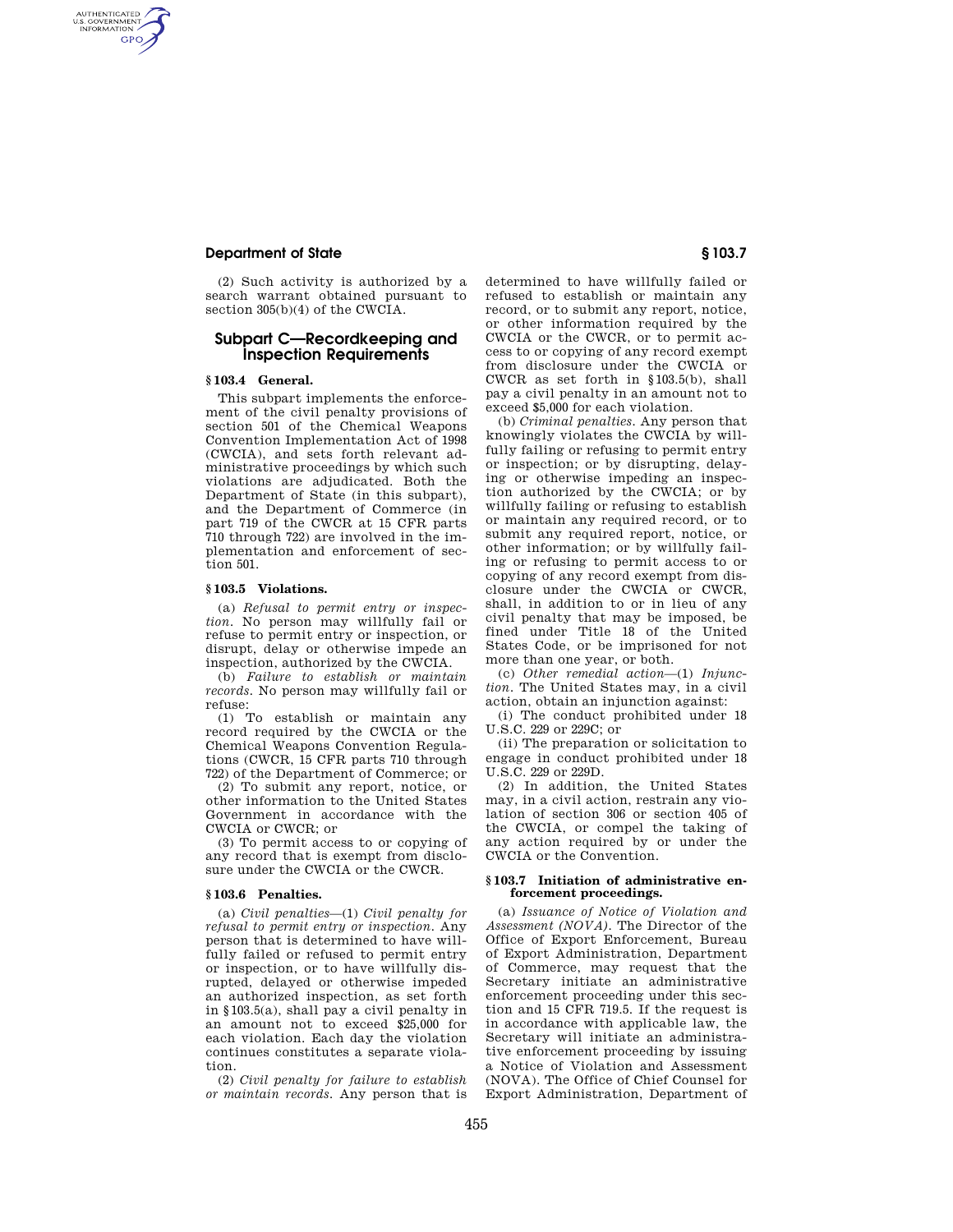## **Department of State § 103.7**

AUTHENTICATED<br>U.S. GOVERNMENT<br>INFORMATION **GPO** 

> (2) Such activity is authorized by a search warrant obtained pursuant to section 305(b)(4) of the CWCIA.

# **Subpart C—Recordkeeping and Inspection Requirements**

#### **§ 103.4 General.**

This subpart implements the enforcement of the civil penalty provisions of section 501 of the Chemical Weapons Convention Implementation Act of 1998 (CWCIA), and sets forth relevant administrative proceedings by which such violations are adjudicated. Both the Department of State (in this subpart), and the Department of Commerce (in part 719 of the CWCR at 15 CFR parts 710 through 722) are involved in the implementation and enforcement of section 501.

# **§ 103.5 Violations.**

(a) *Refusal to permit entry or inspection.* No person may willfully fail or refuse to permit entry or inspection, or disrupt, delay or otherwise impede an inspection, authorized by the CWCIA.

(b) *Failure to establish or maintain records.* No person may willfully fail or refuse:

(1) To establish or maintain any record required by the CWCIA or the Chemical Weapons Convention Regulations (CWCR, 15 CFR parts 710 through 722) of the Department of Commerce; or

(2) To submit any report, notice, or other information to the United States Government in accordance with the CWCIA or CWCR; or

(3) To permit access to or copying of any record that is exempt from disclosure under the CWCIA or the CWCR.

### **§ 103.6 Penalties.**

(a) *Civil penalties*—(1) *Civil penalty for refusal to permit entry or inspection.* Any person that is determined to have willfully failed or refused to permit entry or inspection, or to have willfully disrupted, delayed or otherwise impeded an authorized inspection, as set forth in §103.5(a), shall pay a civil penalty in an amount not to exceed \$25,000 for each violation. Each day the violation continues constitutes a separate violation.

(2) *Civil penalty for failure to establish or maintain records.* Any person that is determined to have willfully failed or refused to establish or maintain any record, or to submit any report, notice, or other information required by the CWCIA or the CWCR, or to permit access to or copying of any record exempt from disclosure under the CWCIA or CWCR as set forth in §103.5(b), shall pay a civil penalty in an amount not to exceed \$5,000 for each violation.

(b) *Criminal penalties.* Any person that knowingly violates the CWCIA by willfully failing or refusing to permit entry or inspection; or by disrupting, delaying or otherwise impeding an inspection authorized by the CWCIA; or by willfully failing or refusing to establish or maintain any required record, or to submit any required report, notice, or other information; or by willfully failing or refusing to permit access to or copying of any record exempt from disclosure under the CWCIA or CWCR, shall, in addition to or in lieu of any civil penalty that may be imposed, be fined under Title 18 of the United States Code, or be imprisoned for not more than one year, or both.

(c) *Other remedial action*—(1) *Injunction.* The United States may, in a civil action, obtain an injunction against:

(i) The conduct prohibited under 18 U.S.C. 229 or 229C; or

(ii) The preparation or solicitation to engage in conduct prohibited under 18 U.S.C. 229 or 229D.

(2) In addition, the United States may, in a civil action, restrain any violation of section 306 or section 405 of the CWCIA, or compel the taking of any action required by or under the CWCIA or the Convention.

#### **§ 103.7 Initiation of administrative enforcement proceedings.**

(a) *Issuance of Notice of Violation and Assessment (NOVA).* The Director of the Office of Export Enforcement, Bureau of Export Administration, Department of Commerce, may request that the Secretary initiate an administrative enforcement proceeding under this section and 15 CFR 719.5. If the request is in accordance with applicable law, the Secretary will initiate an administrative enforcement proceeding by issuing a Notice of Violation and Assessment (NOVA). The Office of Chief Counsel for Export Administration, Department of